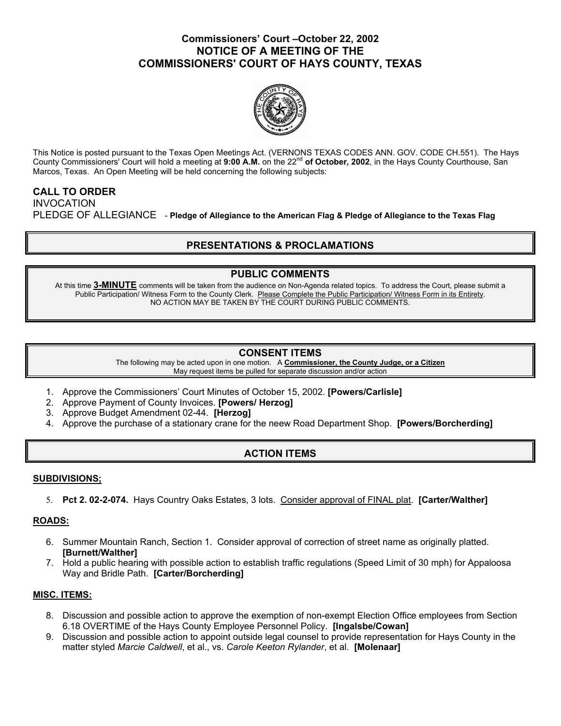## **Commissioners' Court –October 22, 2002 NOTICE OF A MEETING OF THE COMMISSIONERS' COURT OF HAYS COUNTY, TEXAS**



This Notice is posted pursuant to the Texas Open Meetings Act. (VERNONS TEXAS CODES ANN. GOV. CODE CH.551). The Hays County Commissioners' Court will hold a meeting at 9:00 A.M. on the 22<sup>nd</sup> of October, 2002, in the Hays County Courthouse, San Marcos, Texas. An Open Meeting will be held concerning the following subjects:

## **CALL TO ORDER**

INVOCATION PLEDGE OF ALLEGIANCE - **Pledge of Allegiance to the American Flag & Pledge of Allegiance to the Texas Flag** 

# **PRESENTATIONS & PROCLAMATIONS**

## **PUBLIC COMMENTS**

At this time **3-MINUTE** comments will be taken from the audience on Non-Agenda related topics. To address the Court, please submit a Public Participation/ Witness Form to the County Clerk. Please Complete the Public Participation/ Witness Form in its Entirety. NO ACTION MAY BE TAKEN BY THE COURT DURING PUBLIC COMMENTS.

### **CONSENT ITEMS**

The following may be acted upon in one motion. A **Commissioner, the County Judge, or a Citizen** May request items be pulled for separate discussion and/or action

- 1. Approve the Commissioners' Court Minutes of October 15, 2002. **[Powers/Carlisle]**
- 2. Approve Payment of County Invoices. **[Powers/ Herzog]**
- 3. Approve Budget Amendment 02-44. **[Herzog]**
- 4. Approve the purchase of a stationary crane for the neew Road Department Shop. **[Powers/Borcherding]**

# **ACTION ITEMS**

### **SUBDIVISIONS;**

5. **Pct 2. 02-2-074.** Hays Country Oaks Estates, 3 lots. Consider approval of FINAL plat. **[Carter/Walther]**

### **ROADS:**

- 6. Summer Mountain Ranch, Section 1. Consider approval of correction of street name as originally platted. **[Burnett/Walther]**
- 7. Hold a public hearing with possible action to establish traffic regulations (Speed Limit of 30 mph) for Appaloosa Way and Bridle Path. **[Carter/Borcherding]**

### **MISC. ITEMS:**

- 8. Discussion and possible action to approve the exemption of non-exempt Election Office employees from Section 6.18 OVERTIME of the Hays County Employee Personnel Policy. **[Ingalsbe/Cowan]**
- 9. Discussion and possible action to appoint outside legal counsel to provide representation for Hays County in the matter styled *Marcie Caldwell*, et al., vs. *Carole Keeton Rylander*, et al. **[Molenaar]**